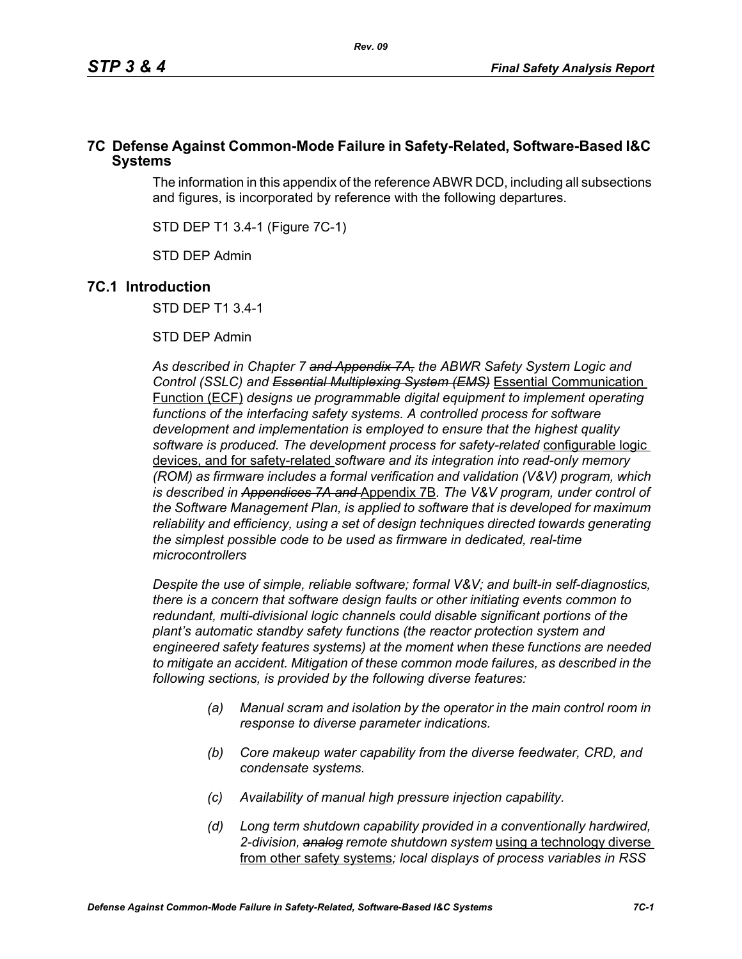# **7C Defense Against Common-Mode Failure in Safety-Related, Software-Based I&C Systems**

The information in this appendix of the reference ABWR DCD, including all subsections and figures, is incorporated by reference with the following departures.

STD DEP T1 3.4-1 (Figure 7C-1)

STD DEP Admin

# **7C.1 Introduction**

STD DEP T1 3.4-1

STD DEP Admin

*As described in Chapter 7 and Appendix 7A, the ABWR Safety System Logic and Control (SSLC) and Essential Multiplexing System (EMS)* Essential Communication Function (ECF) *designs ue programmable digital equipment to implement operating*  functions of the interfacing safety systems. A controlled process for software *development and implementation is employed to ensure that the highest quality software is produced. The development process for safety-related* configurable logic devices, and for safety-related *software and its integration into read-only memory (ROM) as firmware includes a formal verification and validation (V&V) program, which is described in Appendices 7A and* Appendix 7B*. The V&V program, under control of the Software Management Plan, is applied to software that is developed for maximum reliability and efficiency, using a set of design techniques directed towards generating the simplest possible code to be used as firmware in dedicated, real-time microcontrollers*

*Despite the use of simple, reliable software; formal V&V; and built-in self-diagnostics, there is a concern that software design faults or other initiating events common to redundant, multi-divisional logic channels could disable significant portions of the plant's automatic standby safety functions (the reactor protection system and engineered safety features systems) at the moment when these functions are needed to mitigate an accident. Mitigation of these common mode failures, as described in the following sections, is provided by the following diverse features:*

- *(a) Manual scram and isolation by the operator in the main control room in response to diverse parameter indications.*
- *(b) Core makeup water capability from the diverse feedwater, CRD, and condensate systems.*
- *(c) Availability of manual high pressure injection capability.*
- *(d) Long term shutdown capability provided in a conventionally hardwired, 2-division, analog remote shutdown system* using a technology diverse from other safety systems*; local displays of process variables in RSS*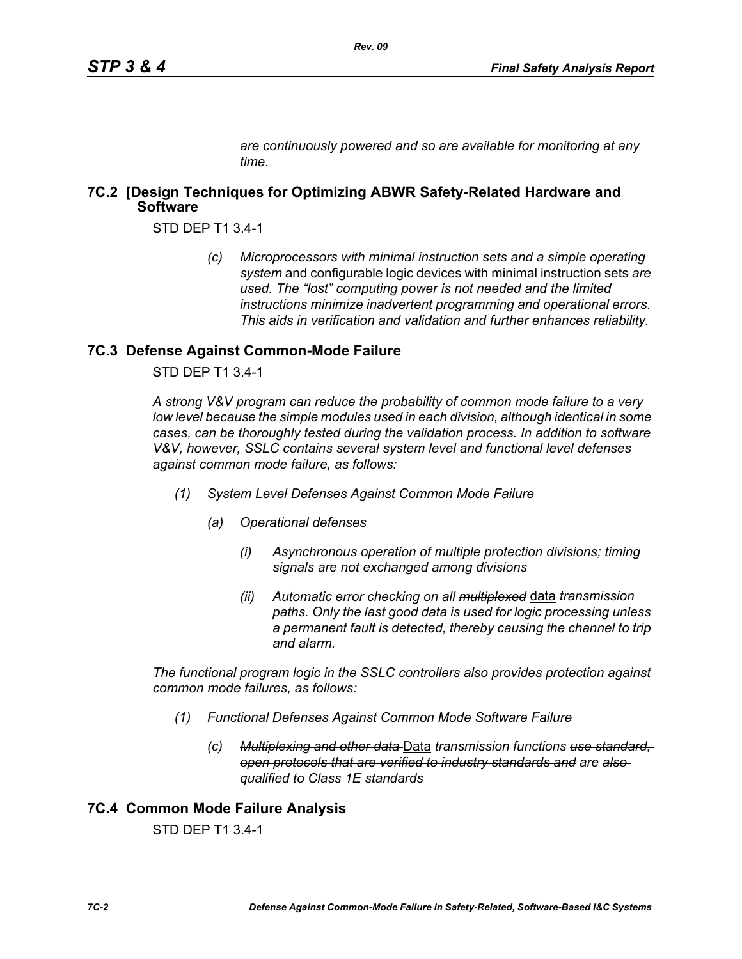*are continuously powered and so are available for monitoring at any time.*

# **7C.2 [Design Techniques for Optimizing ABWR Safety-Related Hardware and Software**

STD DEP T1 3.4-1

*(c) Microprocessors with minimal instruction sets and a simple operating system* and configurable logic devices with minimal instruction sets *are used. The "lost" computing power is not needed and the limited instructions minimize inadvertent programming and operational errors. This aids in verification and validation and further enhances reliability.*

## **7C.3 Defense Against Common-Mode Failure**

STD DEP T1 3.4-1

*A strong V&V program can reduce the probability of common mode failure to a very low level because the simple modules used in each division, although identical in some cases, can be thoroughly tested during the validation process. In addition to software V&V, however, SSLC contains several system level and functional level defenses against common mode failure, as follows:*

- *(1) System Level Defenses Against Common Mode Failure*
	- *(a) Operational defenses*
		- *(i) Asynchronous operation of multiple protection divisions; timing signals are not exchanged among divisions*
		- *(ii) Automatic error checking on all multiplexed* data *transmission paths. Only the last good data is used for logic processing unless a permanent fault is detected, thereby causing the channel to trip and alarm.*

*The functional program logic in the SSLC controllers also provides protection against common mode failures, as follows:*

- *(1) Functional Defenses Against Common Mode Software Failure*
	- *(c) Multiplexing and other data* Data *transmission functions use standard, open protocols that are verified to industry standards and are also qualified to Class 1E standards*

# **7C.4 Common Mode Failure Analysis**

STD DEP T1 3.4-1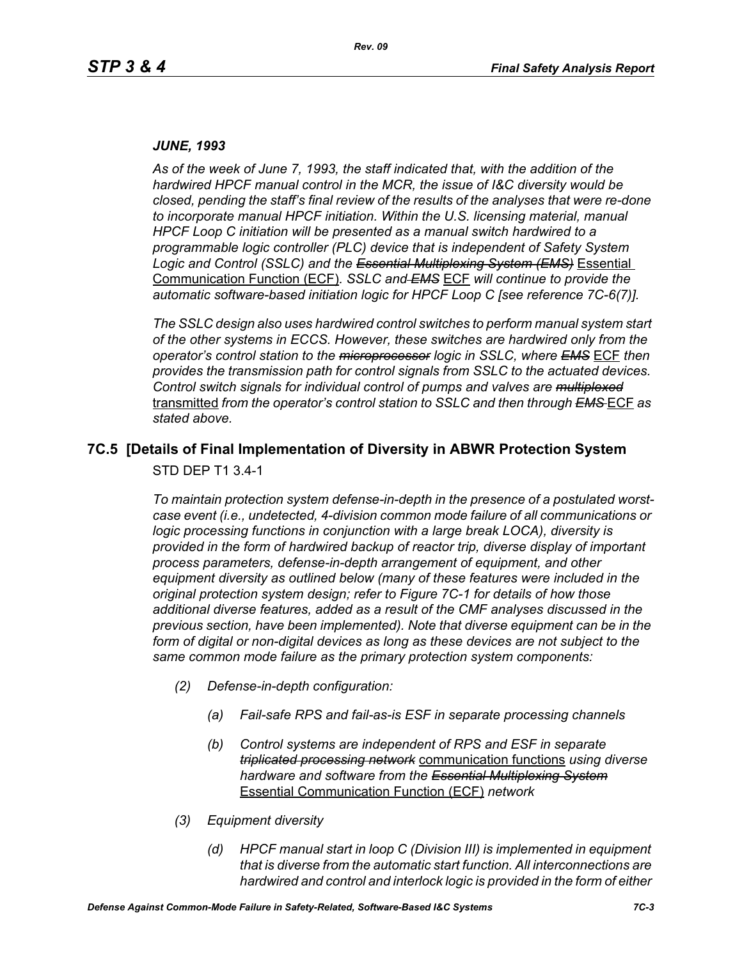#### *JUNE, 1993*

*As of the week of June 7, 1993, the staff indicated that, with the addition of the hardwired HPCF manual control in the MCR, the issue of I&C diversity would be closed, pending the staff's final review of the results of the analyses that were re-done to incorporate manual HPCF initiation. Within the U.S. licensing material, manual HPCF Loop C initiation will be presented as a manual switch hardwired to a programmable logic controller (PLC) device that is independent of Safety System Logic and Control (SSLC) and the Essential Multiplexing System (EMS)* Essential Communication Function (ECF)*. SSLC and EMS* ECF *will continue to provide the automatic software-based initiation logic for HPCF Loop C [see reference 7C-6(7)].*

*The SSLC design also uses hardwired control switches to perform manual system start of the other systems in ECCS. However, these switches are hardwired only from the operator's control station to the microprocessor logic in SSLC, where EMS* ECF *then provides the transmission path for control signals from SSLC to the actuated devices. Control switch signals for individual control of pumps and valves are multiplexed* transmitted *from the operator's control station to SSLC and then through EMS* ECF *as stated above.*

# **7C.5 [Details of Final Implementation of Diversity in ABWR Protection System**

STD DEP T1 3.4-1

*To maintain protection system defense-in-depth in the presence of a postulated worstcase event (i.e., undetected, 4-division common mode failure of all communications or logic processing functions in conjunction with a large break LOCA), diversity is provided in the form of hardwired backup of reactor trip, diverse display of important process parameters, defense-in-depth arrangement of equipment, and other equipment diversity as outlined below (many of these features were included in the original protection system design; refer to Figure 7C-1 for details of how those additional diverse features, added as a result of the CMF analyses discussed in the previous section, have been implemented). Note that diverse equipment can be in the*  form of digital or non-digital devices as long as these devices are not subject to the *same common mode failure as the primary protection system components:*

- *(2) Defense-in-depth configuration:*
	- *(a) Fail-safe RPS and fail-as-is ESF in separate processing channels*
	- *(b) Control systems are independent of RPS and ESF in separate triplicated processing network* communication functions *using diverse hardware and software from the Essential Multiplexing System* Essential Communication Function (ECF) *network*
- *(3) Equipment diversity*
	- *(d) HPCF manual start in loop C (Division III) is implemented in equipment that is diverse from the automatic start function. All interconnections are hardwired and control and interlock logic is provided in the form of either*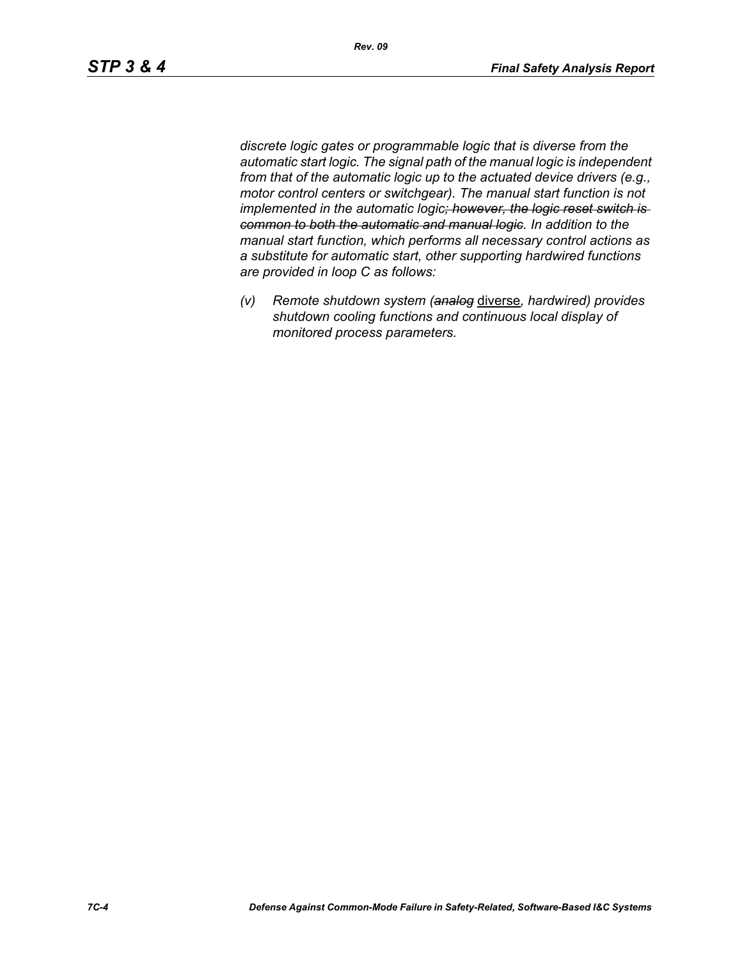*discrete logic gates or programmable logic that is diverse from the automatic start logic. The signal path of the manual logic is independent from that of the automatic logic up to the actuated device drivers (e.g., motor control centers or switchgear). The manual start function is not implemented in the automatic logic; however, the logic reset switch is common to both the automatic and manual logic. In addition to the manual start function, which performs all necessary control actions as a substitute for automatic start, other supporting hardwired functions are provided in loop C as follows:*

*(v) Remote shutdown system (analog* diverse*, hardwired) provides shutdown cooling functions and continuous local display of monitored process parameters.*